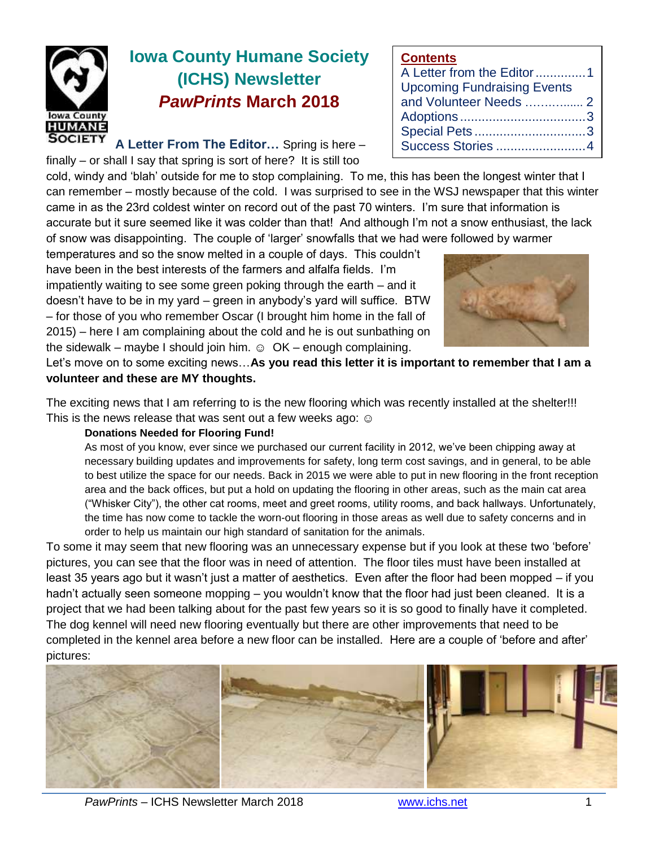

# **Iowa County Humane Society (ICHS) Newsletter** *PawPrints* **March 2018**

**A Letter From The Editor…** Spring is here – finally – or shall I say that spring is sort of here? It is still too

cold, windy and 'blah' outside for me to stop complaining. To me, this has been the longest winter that I can remember – mostly because of the cold. I was surprised to see in the WSJ newspaper that this winter came in as the 23rd coldest winter on record out of the past 70 winters. I'm sure that information is accurate but it sure seemed like it was colder than that! And although I'm not a snow enthusiast, the lack of snow was disappointing. The couple of 'larger' snowfalls that we had were followed by warmer

temperatures and so the snow melted in a couple of days. This couldn't have been in the best interests of the farmers and alfalfa fields. I'm impatiently waiting to see some green poking through the earth – and it doesn't have to be in my yard – green in anybody's yard will suffice. BTW – for those of you who remember Oscar (I brought him home in the fall of 2015) – here I am complaining about the cold and he is out sunbathing on the sidewalk – maybe I should join him.  $\odot$  OK – enough complaining.



A Letter from the Editor..............1 Upcoming Fundraising Events and Volunteer Needs …….…...... 2 Adoptions ...................................3 Special Pets ...............................3 Success Stories .........................4

**Contents**

Let's move on to some exciting news…**As you read this letter it is important to remember that I am a volunteer and these are MY thoughts.** 

The exciting news that I am referring to is the new flooring which was recently installed at the shelter!!! This is the news release that was sent out a few weeks ago: ☺

#### **Donations Needed for Flooring Fund!**

As most of you know, ever since we purchased our current facility in 2012, we've been chipping away at necessary building updates and improvements for safety, long term cost savings, and in general, to be able to best utilize the space for our needs. Back in 2015 we were able to put in new flooring in the front reception area and the back offices, but put a hold on updating the flooring in other areas, such as the main cat area ("Whisker City"), the other cat rooms, meet and greet rooms, utility rooms, and back hallways. Unfortunately, the time has now come to tackle the worn-out flooring in those areas as well due to safety concerns and in order to help us maintain our high standard of sanitation for the animals.

To some it may seem that new flooring was an unnecessary expense but if you look at these two 'before' pictures, you can see that the floor was in need of attention. The floor tiles must have been installed at least 35 years ago but it wasn't just a matter of aesthetics. Even after the floor had been mopped – if you hadn't actually seen someone mopping – you wouldn't know that the floor had just been cleaned. It is a project that we had been talking about for the past few years so it is so good to finally have it completed. The dog kennel will need new flooring eventually but there are other improvements that need to be completed in the kennel area before a new floor can be installed. Here are a couple of 'before and after' pictures:

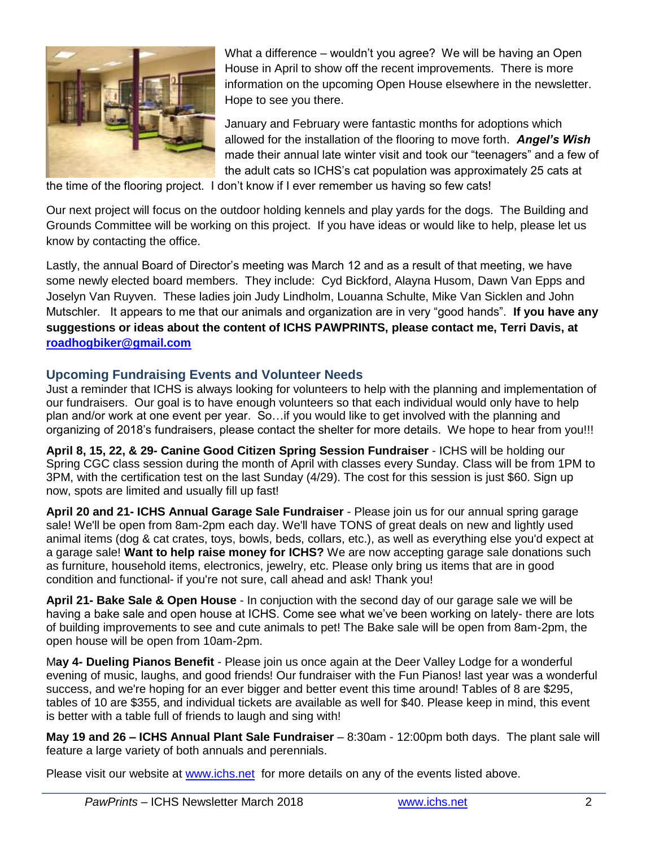

What a difference – wouldn't you agree? We will be having an Open House in April to show off the recent improvements. There is more information on the upcoming Open House elsewhere in the newsletter. Hope to see you there.

January and February were fantastic months for adoptions which allowed for the installation of the flooring to move forth. *Angel's Wish* made their annual late winter visit and took our "teenagers" and a few of the adult cats so ICHS's cat population was approximately 25 cats at

the time of the flooring project. I don't know if I ever remember us having so few cats!

Our next project will focus on the outdoor holding kennels and play yards for the dogs. The Building and Grounds Committee will be working on this project. If you have ideas or would like to help, please let us know by contacting the office.

Lastly, the annual Board of Director's meeting was March 12 and as a result of that meeting, we have some newly elected board members. They include: Cyd Bickford, Alayna Husom, Dawn Van Epps and Joselyn Van Ruyven. These ladies join Judy Lindholm, Louanna Schulte, Mike Van Sicklen and John Mutschler. It appears to me that our animals and organization are in very "good hands". **If you have any suggestions or ideas about the content of ICHS PAWPRINTS, please contact me, Terri Davis, at [roadhogbiker@gmail.com](mailto:roadhogbiker@gmail.com)**

## **Upcoming Fundraising Events and Volunteer Needs**

Just a reminder that ICHS is always looking for volunteers to help with the planning and implementation of our fundraisers. Our goal is to have enough volunteers so that each individual would only have to help plan and/or work at one event per year. So…if you would like to get involved with the planning and organizing of 2018's fundraisers, please contact the shelter for more details. We hope to hear from you!!!

**April 8, 15, 22, & 29- Canine Good Citizen Spring Session Fundraiser** - ICHS will be holding our Spring CGC class session during the month of April with classes every Sunday. Class will be from 1PM to 3PM, with the certification test on the last Sunday (4/29). The cost for this session is just \$60. Sign up now, spots are limited and usually fill up fast!

**April 20 and 21- ICHS Annual Garage Sale Fundraiser** - Please join us for our annual spring garage sale! We'll be open from 8am-2pm each day. We'll have TONS of great deals on new and lightly used animal items (dog & cat crates, toys, bowls, beds, collars, etc.), as well as everything else you'd expect at a garage sale! **Want to help raise money for ICHS?** We are now accepting garage sale donations such as furniture, household items, electronics, jewelry, etc. Please only bring us items that are in good condition and functional- if you're not sure, call ahead and ask! Thank you!

**April 21- Bake Sale & Open House** - In conjuction with the second day of our garage sale we will be having a bake sale and open house at ICHS. Come see what we've been working on lately- there are lots of building improvements to see and cute animals to pet! The Bake sale will be open from 8am-2pm, the open house will be open from 10am-2pm.

M**ay 4- Dueling Pianos Benefit** - Please join us once again at the Deer Valley Lodge for a wonderful evening of music, laughs, and good friends! Our fundraiser with the Fun Pianos! last year was a wonderful success, and we're hoping for an ever bigger and better event this time around! Tables of 8 are \$295, tables of 10 are \$355, and individual tickets are available as well for \$40. Please keep in mind, this event is better with a table full of friends to laugh and sing with!

**May 19 and 26 – ICHS Annual Plant Sale Fundraiser** – 8:30am - 12:00pm both days. The plant sale will feature a large variety of both annuals and perennials.

Please visit our website at [www.ichs.net](http://www.ichs.net/) for more details on any of the events listed above.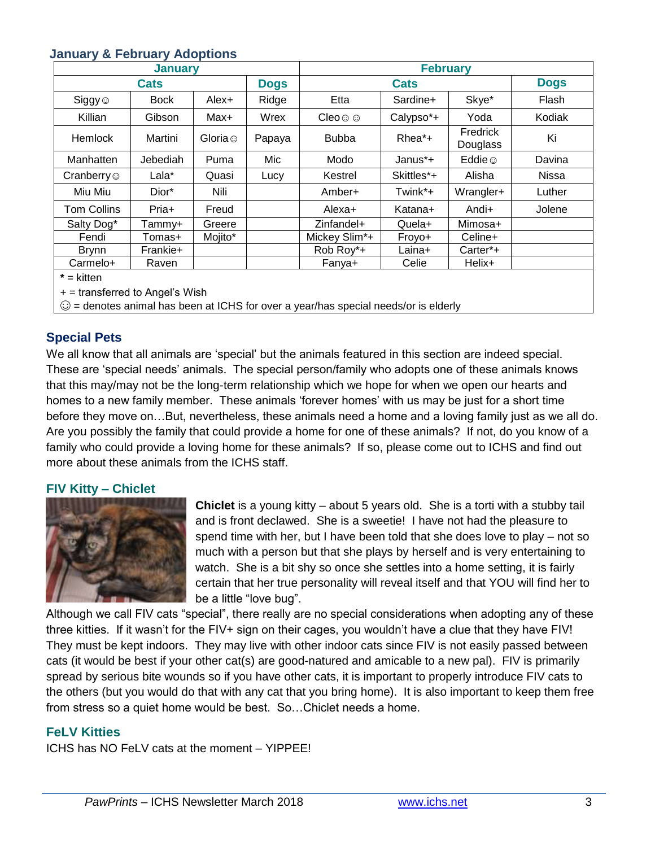## **January & February Adoptions**

| <b>January</b>     |             |                |             | <b>February</b>         |            |                      |             |
|--------------------|-------------|----------------|-------------|-------------------------|------------|----------------------|-------------|
| <b>Cats</b>        |             |                | <b>Dogs</b> | <b>Cats</b>             |            |                      | <b>Dogs</b> |
| $Siggy \odot$      | <b>Bock</b> | Alex+          | Ridge       | Etta                    | Sardine+   | Skye*                | Flash       |
| Killian            | Gibson      | Max+           | Wrex        | $C$ leo $\odot$ $\odot$ | Calypso*+  | Yoda                 | Kodiak      |
| <b>Hemlock</b>     | Martini     | Gloria $\odot$ | Papaya      | <b>Bubba</b>            | $Rhea^*+$  | Fredrick<br>Douglass | Ki          |
| Manhatten          | Jebediah    | Puma           | Mic         | Modo                    | Janus*+    | Eddie $\odot$        | Davina      |
| Cranberry $\odot$  | Lala*       | Quasi          | Lucy        | Kestrel                 | Skittles*+ | Alisha               | Nissa       |
| Miu Miu            | Dior*       | Nili           |             | Amber+                  | Twink*+    | Wrangler+            | Luther      |
| <b>Tom Collins</b> | Pria+       | Freud          |             | Alexa+                  | Katana+    | Andi+                | Jolene      |
| Salty Dog*         | Tammv+      | Greere         |             | Zinfandel+              | Quela+     | Mimosa+              |             |
| Fendi              | Tomas+      | Mojito*        |             | Mickey Slim*+           | Froyo+     | Celine+              |             |
| <b>Brynn</b>       | Frankie+    |                |             | Rob Roy*+               | Laina+     | Carter*+             |             |
| Carmelo+           | Raven       |                |             | Fanya+                  | Celie      | Helix+               |             |
| $*$ = kitten       |             |                |             |                         |            |                      |             |

 $+$  = transferred to Angel's Wish

 $\odot$  = denotes animal has been at ICHS for over a year/has special needs/or is elderly

# **Special Pets**

We all know that all animals are 'special' but the animals featured in this section are indeed special. These are 'special needs' animals. The special person/family who adopts one of these animals knows that this may/may not be the long-term relationship which we hope for when we open our hearts and homes to a new family member. These animals 'forever homes' with us may be just for a short time before they move on…But, nevertheless, these animals need a home and a loving family just as we all do. Are you possibly the family that could provide a home for one of these animals? If not, do you know of a family who could provide a loving home for these animals? If so, please come out to ICHS and find out more about these animals from the ICHS staff.

#### **FIV Kitty – Chiclet**



**Chiclet** is a young kitty – about 5 years old. She is a torti with a stubby tail and is front declawed. She is a sweetie! I have not had the pleasure to spend time with her, but I have been told that she does love to play – not so much with a person but that she plays by herself and is very entertaining to watch. She is a bit shy so once she settles into a home setting, it is fairly certain that her true personality will reveal itself and that YOU will find her to be a little "love bug".

Although we call FIV cats "special", there really are no special considerations when adopting any of these three kitties. If it wasn't for the FIV+ sign on their cages, you wouldn't have a clue that they have FIV! They must be kept indoors. They may live with other indoor cats since FIV is not easily passed between cats (it would be best if your other cat(s) are good-natured and amicable to a new pal). FIV is primarily spread by serious bite wounds so if you have other cats, it is important to properly introduce FIV cats to the others (but you would do that with any cat that you bring home). It is also important to keep them free from stress so a quiet home would be best. So…Chiclet needs a home.

### **FeLV Kitties**

ICHS has NO FeLV cats at the moment – YIPPEE!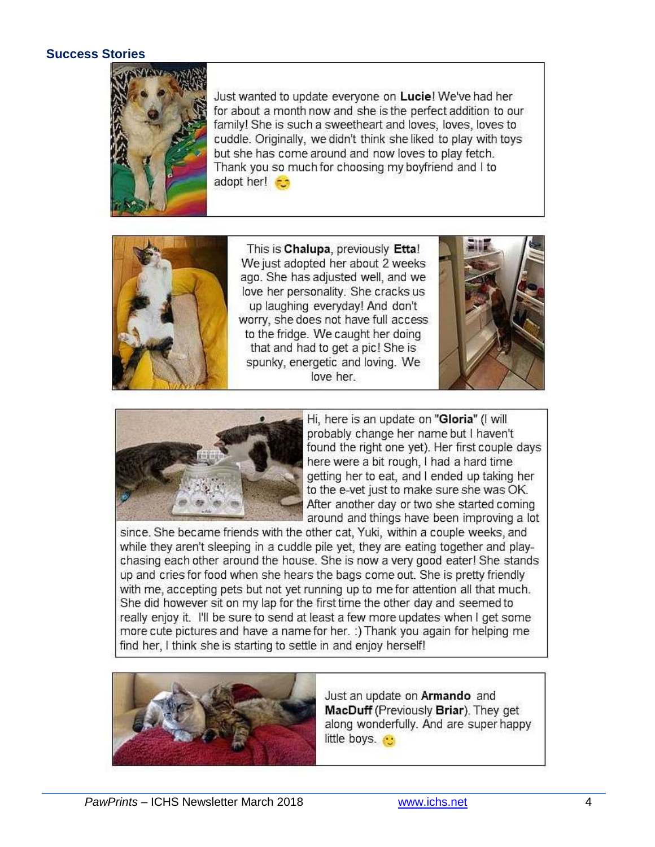## **Success Stories**



Just wanted to update everyone on Lucie! We've had her for about a month now and she is the perfect addition to our family! She is such a sweetheart and loves, loves, loves to cuddle. Originally, we didn't think she liked to play with toys but she has come around and now loves to play fetch. Thank you so much for choosing my boyfriend and I to adopt her!



This is Chalupa, previously Etta! We just adopted her about 2 weeks ago. She has adjusted well, and we love her personality. She cracks us up laughing everyday! And don't worry, she does not have full access to the fridge. We caught her doing that and had to get a pic! She is spunky, energetic and loving. We love her





Hi, here is an update on "Gloria" (I will probably change her name but I haven't found the right one yet). Her first couple days here were a bit rough, I had a hard time getting her to eat, and I ended up taking her to the e-vet just to make sure she was OK. After another day or two she started coming around and things have been improving a lot

since. She became friends with the other cat, Yuki, within a couple weeks, and while they aren't sleeping in a cuddle pile yet, they are eating together and playchasing each other around the house. She is now a very good eater! She stands up and cries for food when she hears the bags come out. She is pretty friendly with me, accepting pets but not yet running up to me for attention all that much. She did however sit on my lap for the first time the other day and seemed to really enjoy it. I'll be sure to send at least a few more updates when I get some more cute pictures and have a name for her. :) Thank you again for helping me find her, I think she is starting to settle in and enjoy herself!



Just an update on Armando and MacDuff (Previously Briar). They get along wonderfully. And are super happy little boys.